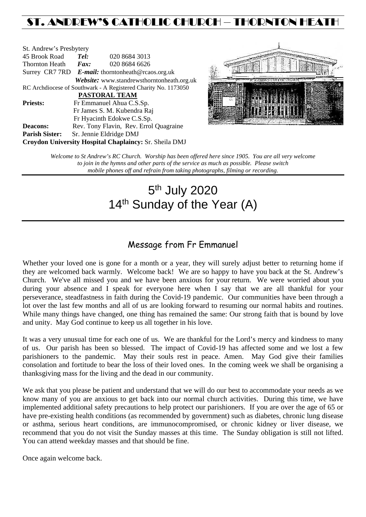# ST. ANDREW'S CATHOLIC CHURCH – THORNTON HEATH

| St. Andrew's Presbytery                                        |                                                   |  |                                            |  |  |
|----------------------------------------------------------------|---------------------------------------------------|--|--------------------------------------------|--|--|
| 45 Brook Road                                                  | Tel:                                              |  | 020 8684 3013                              |  |  |
| Thornton Heath                                                 | Fax:                                              |  | 020 8684 6626                              |  |  |
|                                                                | Surrey CR7 7RD E-mail: thorntonheath@rcaos.org.uk |  |                                            |  |  |
|                                                                |                                                   |  | Website: www.standrewsthorntonheath.org.uk |  |  |
| RC Archdiocese of Southwark - A Registered Charity No. 1173050 |                                                   |  |                                            |  |  |
| <b>PASTORAL TEAM</b>                                           |                                                   |  |                                            |  |  |
| <b>Priests:</b>                                                | Fr Emmanuel Ahua C.S.Sp.                          |  |                                            |  |  |
| Fr James S. M. Kubendra Raj                                    |                                                   |  |                                            |  |  |
|                                                                |                                                   |  | Fr Hyacinth Edokwe C.S.Sp.                 |  |  |
| <b>Deacons:</b>                                                |                                                   |  | Rev. Tony Flavin, Rev. Errol Quagraine     |  |  |
| <b>Parish Sister:</b>                                          | Sr. Jennie Eldridge DMJ                           |  |                                            |  |  |
| Croydon University Hospital Chaplaincy: Sr. Sheila DMJ         |                                                   |  |                                            |  |  |



*Welcome to St Andrew's RC Church. Worship has been offered here since 1905. You are all very welcome to join in the hymns and other parts of the service as much as possible. Please switch mobile phones off and refrain from taking photographs, filming or recording.*

# 5th July 2020 14<sup>th</sup> Sunday of the Year (A)

## Message from Fr Emmanuel

Whether your loved one is gone for a month or a year, they will surely adjust better to returning home if they are welcomed back warmly. Welcome back! We are so happy to have you back at the St. Andrew's Church. We've all missed you and we have been anxious for your return. We were worried about you during your absence and I speak for everyone here when I say that we are all thankful for your perseverance, steadfastness in faith during the Covid-19 pandemic. Our communities have been through a lot over the last few months and all of us are looking forward to resuming our normal habits and routines. While many things have changed, one thing has remained the same: Our strong faith that is bound by love and unity. May God continue to keep us all together in his love.

It was a very unusual time for each one of us. We are thankful for the Lord's mercy and kindness to many of us. Our parish has been so blessed. The impact of Covid-19 has affected some and we lost a few parishioners to the pandemic. May their souls rest in peace. Amen. May God give their families consolation and fortitude to bear the loss of their loved ones. In the coming week we shall be organising a thanksgiving mass for the living and the dead in our community.

We ask that you please be patient and understand that we will do our best to accommodate your needs as we know many of you are anxious to get back into our normal church activities. During this time, we have implemented additional safety precautions to help protect our parishioners. If you are over the age of 65 or have pre-existing health conditions (as recommended by government) such as diabetes, chronic lung disease or asthma, serious heart conditions, are immunocompromised, or chronic kidney or liver disease, we recommend that you do not visit the Sunday masses at this time. The Sunday obligation is still not lifted. You can attend weekday masses and that should be fine.

Once again welcome back.